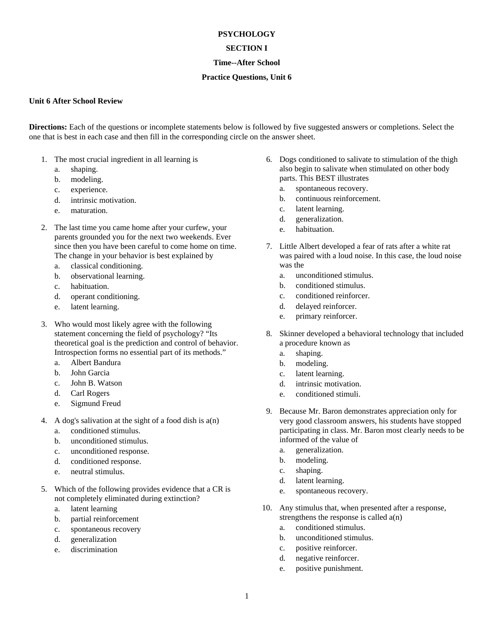### **PSYCHOLOGY**

## **SECTION I**

## **Time--After School**

## **Practice Questions, Unit 6**

#### **Unit 6 After School Review**

**Directions:** Each of the questions or incomplete statements below is followed by five suggested answers or completions. Select the one that is best in each case and then fill in the corresponding circle on the answer sheet.

- 1. The most crucial ingredient in all learning is
	- a. shaping.
	- b. modeling.
	- c. experience.
	- d. intrinsic motivation.
	- e. maturation.
- 2. The last time you came home after your curfew, your parents grounded you for the next two weekends. Ever since then you have been careful to come home on time. The change in your behavior is best explained by
	- a. classical conditioning.
	- b. observational learning.
	- c. habituation.
	- d. operant conditioning.
	- e. latent learning.
- 3. Who would most likely agree with the following statement concerning the field of psychology? "Its theoretical goal is the prediction and control of behavior. Introspection forms no essential part of its methods."
	- a. Albert Bandura
	- b. John Garcia
	- c. John B. Watson
	- d. Carl Rogers
	- e. Sigmund Freud
- 4. A dog's salivation at the sight of a food dish is a(n)
	- a. conditioned stimulus.
	- b. unconditioned stimulus.
	- c. unconditioned response.
	- d. conditioned response.
	- e. neutral stimulus.
- 5. Which of the following provides evidence that a CR is not completely eliminated during extinction?
	- a. latent learning
	- b. partial reinforcement
	- c. spontaneous recovery
	- d. generalization
	- e. discrimination
- 6. Dogs conditioned to salivate to stimulation of the thigh also begin to salivate when stimulated on other body parts. This BEST illustrates
	- a. spontaneous recovery.
	- b. continuous reinforcement.
	- c. latent learning.
	- d. generalization.
	- e. habituation.
- 7. Little Albert developed a fear of rats after a white rat was paired with a loud noise. In this case, the loud noise was the
	- a. unconditioned stimulus.
	- b. conditioned stimulus.
	- c. conditioned reinforcer.
	- d. delayed reinforcer.
	- e. primary reinforcer.
- 8. Skinner developed a behavioral technology that included a procedure known as
	- a. shaping.
	- b. modeling.
	- c. latent learning.
	- d. intrinsic motivation.
	- e. conditioned stimuli.
- 9. Because Mr. Baron demonstrates appreciation only for very good classroom answers, his students have stopped participating in class. Mr. Baron most clearly needs to be informed of the value of
	- a. generalization.
	- b. modeling.
	- c. shaping.
	- d. latent learning.
	- e. spontaneous recovery.
- 10. Any stimulus that, when presented after a response, strengthens the response is called  $a(n)$ 
	- a. conditioned stimulus.
	- b. unconditioned stimulus.
	- c. positive reinforcer.
	- d. negative reinforcer.
	- e. positive punishment.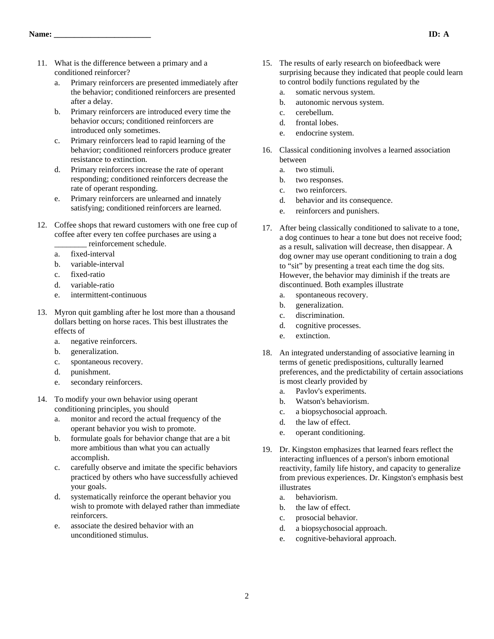- 11. What is the difference between a primary and a conditioned reinforcer?
	- a. Primary reinforcers are presented immediately after the behavior; conditioned reinforcers are presented after a delay.
	- b. Primary reinforcers are introduced every time the behavior occurs; conditioned reinforcers are introduced only sometimes.
	- c. Primary reinforcers lead to rapid learning of the behavior; conditioned reinforcers produce greater resistance to extinction.
	- d. Primary reinforcers increase the rate of operant responding; conditioned reinforcers decrease the rate of operant responding.
	- e. Primary reinforcers are unlearned and innately satisfying; conditioned reinforcers are learned.
- 12. Coffee shops that reward customers with one free cup of coffee after every ten coffee purchases are using a reinforcement schedule.
	- a. fixed-interval
	- b. variable-interval
	- c. fixed-ratio
	- d. variable-ratio
	- e. intermittent-continuous
- 13. Myron quit gambling after he lost more than a thousand dollars betting on horse races. This best illustrates the effects of
	- a. negative reinforcers.
	- b. generalization.
	- c. spontaneous recovery.
	- d. punishment.
	- e. secondary reinforcers.
- 14. To modify your own behavior using operant conditioning principles, you should
	- a. monitor and record the actual frequency of the operant behavior you wish to promote.
	- b. formulate goals for behavior change that are a bit more ambitious than what you can actually accomplish.
	- c. carefully observe and imitate the specific behaviors practiced by others who have successfully achieved your goals.
	- d. systematically reinforce the operant behavior you wish to promote with delayed rather than immediate reinforcers.
	- e. associate the desired behavior with an unconditioned stimulus.
- 15. The results of early research on biofeedback were surprising because they indicated that people could learn to control bodily functions regulated by the
	- a. somatic nervous system.
	- b. autonomic nervous system.
	- c. cerebellum.
	- d. frontal lobes.
	- e. endocrine system.
- 16. Classical conditioning involves a learned association between
	- a. two stimuli.
	- b. two responses.
	- c. two reinforcers.
	- d. behavior and its consequence.
	- e. reinforcers and punishers.
- 17. After being classically conditioned to salivate to a tone, a dog continues to hear a tone but does not receive food; as a result, salivation will decrease, then disappear. A dog owner may use operant conditioning to train a dog to "sit" by presenting a treat each time the dog sits. However, the behavior may diminish if the treats are discontinued. Both examples illustrate
	- a. spontaneous recovery.
	- b. generalization.
	- c. discrimination.
	- d. cognitive processes.
	- e. extinction.
- 18. An integrated understanding of associative learning in terms of genetic predispositions, culturally learned preferences, and the predictability of certain associations is most clearly provided by
	- a. Pavlov's experiments.
	- b. Watson's behaviorism.
	- c. a biopsychosocial approach.
	- d. the law of effect.
	- e. operant conditioning.
- 19. Dr. Kingston emphasizes that learned fears reflect the interacting influences of a person's inborn emotional reactivity, family life history, and capacity to generalize from previous experiences. Dr. Kingston's emphasis best illustrates
	- a. behaviorism.
	- b. the law of effect.
	- c. prosocial behavior.
	- d. a biopsychosocial approach.
	- e. cognitive-behavioral approach.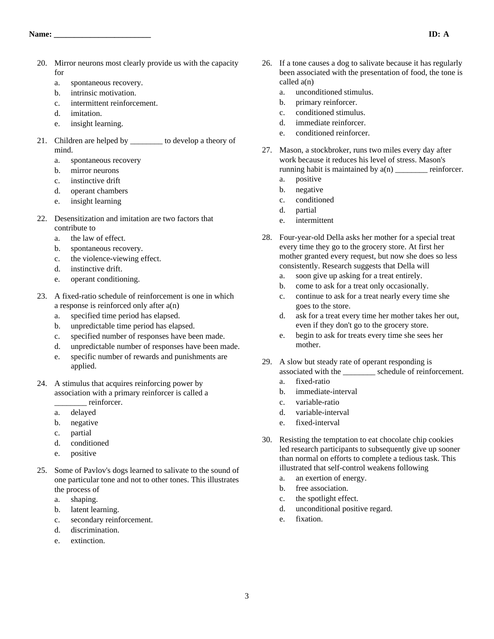- 20. Mirror neurons most clearly provide us with the capacity for
	- a. spontaneous recovery.
	- b. intrinsic motivation.
	- c. intermittent reinforcement.
	- d. imitation.
	- e. insight learning.
- 21. Children are helped by \_\_\_\_\_\_\_\_ to develop a theory of mind.
	- a. spontaneous recovery
	- b. mirror neurons
	- c. instinctive drift
	- d. operant chambers
	- e. insight learning
- 22. Desensitization and imitation are two factors that contribute to
	- a. the law of effect.
	- b. spontaneous recovery.
	- c. the violence-viewing effect.
	- d. instinctive drift.
	- e. operant conditioning.
- 23. A fixed-ratio schedule of reinforcement is one in which a response is reinforced only after a(n)
	- a. specified time period has elapsed.
	- b. unpredictable time period has elapsed.
	- c. specified number of responses have been made.
	- d. unpredictable number of responses have been made.
	- e. specific number of rewards and punishments are applied.
- 24. A stimulus that acquires reinforcing power by association with a primary reinforcer is called a
	- \_\_\_\_\_\_\_\_ reinforcer.
	- a. delayed
	- b. negative
	- c. partial
	- d. conditioned
	- e. positive
- 25. Some of Pavlov's dogs learned to salivate to the sound of one particular tone and not to other tones. This illustrates the process of
	- a. shaping.
	- b. latent learning.
	- c. secondary reinforcement.
	- d. discrimination.
	- e. extinction.
- 26. If a tone causes a dog to salivate because it has regularly been associated with the presentation of food, the tone is called a(n)
	- a. unconditioned stimulus.
	- b. primary reinforcer.
	- c. conditioned stimulus.
	- d. immediate reinforcer.
	- e. conditioned reinforcer.
- 27. Mason, a stockbroker, runs two miles every day after work because it reduces his level of stress. Mason's running habit is maintained by  $a(n)$  reinforcer.
	- a. positive
	- b. negative
	- c. conditioned
	- d. partial
	- e. intermittent
- 28. Four-year-old Della asks her mother for a special treat every time they go to the grocery store. At first her mother granted every request, but now she does so less consistently. Research suggests that Della will
	- a. soon give up asking for a treat entirely.
	- b. come to ask for a treat only occasionally.
	- c. continue to ask for a treat nearly every time she goes to the store.
	- d. ask for a treat every time her mother takes her out, even if they don't go to the grocery store.
	- e. begin to ask for treats every time she sees her mother.
- 29. A slow but steady rate of operant responding is associated with the \_\_\_\_\_\_\_\_ schedule of reinforcement.
	- a. fixed-ratio
	- b. immediate-interval
	- c. variable-ratio
	- d. variable-interval
	- e. fixed-interval
- 30. Resisting the temptation to eat chocolate chip cookies led research participants to subsequently give up sooner than normal on efforts to complete a tedious task. This illustrated that self-control weakens following
	- a. an exertion of energy.
	- b. free association.
	- c. the spotlight effect.
	- d. unconditional positive regard.
	- e. fixation.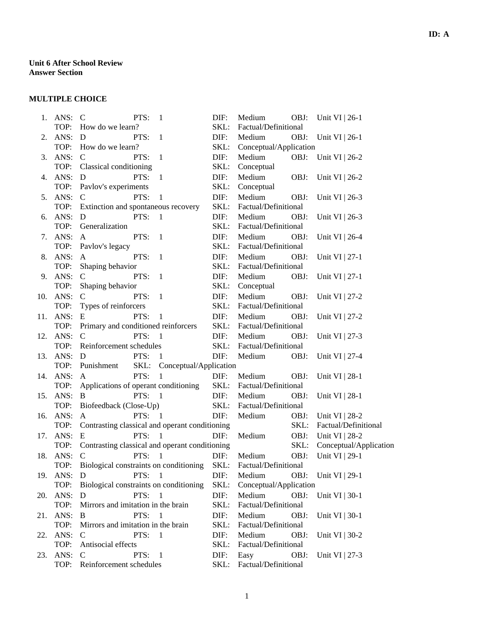# **MULTIPLE CHOICE**

|     | 1. ANS:  | $\mathcal{C}$<br>PTS:<br>-1                                             | DIF:         | Medium<br>OBJ:<br>Unit VI $ 26-1$ |  |  |  |
|-----|----------|-------------------------------------------------------------------------|--------------|-----------------------------------|--|--|--|
|     | TOP:     | How do we learn?                                                        | SKL:         | Factual/Definitional              |  |  |  |
| 2.  | ANS:     | PTS:<br>D<br>$\mathbf{1}$                                               | DIF:         | Medium<br>OBJ: Unit VI   26-1     |  |  |  |
|     | TOP:     | How do we learn?                                                        | SKL:         | Conceptual/Application            |  |  |  |
| 3.  | ANS:     | PTS:<br>$\mathbf C$<br>-1                                               | DIF:         | Medium<br>OBJ: Unit VI   26-2     |  |  |  |
|     | TOP:     | Classical conditioning                                                  | SKL:         | Conceptual                        |  |  |  |
| 4.  | ANS:     | PTS:<br>$\mathbf{1}$<br>D                                               | DIF:         | Medium<br>OBJ:<br>Unit VI   26-2  |  |  |  |
|     | TOP:     | Pavlov's experiments                                                    | SKL:         | Conceptual                        |  |  |  |
| 5.  | ANS:     | PTS:<br>$\mathbf{1}$<br>$\mathcal{C}$                                   | DIF:         | Medium<br>OBJ:<br>Unit VI   26-3  |  |  |  |
|     | TOP:     | Extinction and spontaneous recovery                                     | SKL:         | Factual/Definitional              |  |  |  |
| 6.  | ANS:     | PTS:<br>$\overline{1}$<br>D                                             | DIF:         | Medium<br>OBJ:<br>Unit VI   26-3  |  |  |  |
|     | TOP:     | Generalization                                                          | SKL:         | Factual/Definitional              |  |  |  |
| 7.  | ANS:     | PTS:<br>$\overline{1}$<br>$\mathbf{A}$                                  | DIF:         | Medium<br>OBJ:<br>Unit VI   26-4  |  |  |  |
|     | TOP:     | Pavlov's legacy                                                         | SKL:         | Factual/Definitional              |  |  |  |
|     | 8. ANS:  | PTS:<br>$\overline{1}$<br>A                                             | DIF:         | Medium<br>OBJ:<br>Unit VI $ 27-1$ |  |  |  |
|     | TOP:     | Shaping behavior                                                        | SKL:         | Factual/Definitional              |  |  |  |
| 9.  | ANS:     | PTS:<br>$\mathsf{C}$<br>$\mathbf{1}$                                    | DIF:         | Medium<br>OBJ:<br>Unit VI   27-1  |  |  |  |
|     | TOP:     | Shaping behavior                                                        | SKL:         | Conceptual                        |  |  |  |
| 10. | ANS:     | PTS:<br>$\overline{1}$<br>$\mathcal{C}$                                 | DIF:         | Medium<br>OBJ:<br>Unit VI   27-2  |  |  |  |
|     | TOP:     | Types of reinforcers                                                    | SKL:         | Factual/Definitional              |  |  |  |
| 11. | ANS:     | PTS:<br>-1<br>E                                                         | DIF:         | Medium<br>OBJ:<br>Unit VI   27-2  |  |  |  |
|     | TOP:     | Primary and conditioned reinforcers                                     |              | Factual/Definitional              |  |  |  |
| 12. | ANS:     | PTS:<br>$\mathsf{C}$<br>$\mathbf{1}$                                    | SKL:<br>DIF: | Medium<br>OBJ:<br>Unit VI   27-3  |  |  |  |
|     | TOP:     | Reinforcement schedules                                                 |              | Factual/Definitional              |  |  |  |
| 13. | ANS:     | PTS:<br>D<br>$\mathbf{1}$                                               | SKL:<br>DIF: | Medium<br>OBJ:<br>Unit VI   27-4  |  |  |  |
|     | TOP:     | SKL: Conceptual/Application<br>Punishment                               |              |                                   |  |  |  |
| 14. | ANS:     | PTS:<br>$\mathbf{1}$<br>$\mathsf{A}$                                    | DIF:         | Medium<br>OBJ:<br>Unit VI   28-1  |  |  |  |
|     | TOP:     | Applications of operant conditioning                                    |              | Factual/Definitional              |  |  |  |
| 15. | ANS:     | B<br>PTS:<br>$\overline{1}$                                             | SKL:<br>DIF: | Medium<br>OBJ:<br>Unit VI   28-1  |  |  |  |
|     | TOP:     | Biofeedback (Close-Up)                                                  |              | Factual/Definitional              |  |  |  |
|     | 16. ANS: | PTS:<br>$\mathbf{A}$<br>$\overline{1}$                                  | SKL:<br>DIF: | Medium<br>OBJ:<br>Unit VI   28-2  |  |  |  |
| 17. | TOP:     | Contrasting classical and operant conditioning                          |              | SKL:<br>Factual/Definitional      |  |  |  |
|     | ANS:     | PTS: $1$<br>E                                                           | DIF:         | Medium<br>OBJ:<br>Unit VI   28-2  |  |  |  |
|     | TOP:     | Contrasting classical and operant conditioning                          |              | SKL:<br>Conceptual/Application    |  |  |  |
|     | 18. ANS: | $\mathcal{C}$<br>PTS: 1                                                 | DIF:         | Medium<br>OBJ:<br>Unit VI   29-1  |  |  |  |
|     | TOP:     | Biological constraints on conditioning SKL: Factual/Definitional        |              |                                   |  |  |  |
|     |          |                                                                         |              |                                   |  |  |  |
|     | TOP:     | 19. ANS: D PTS: 1 DIF: Medium<br>Biological constraints on conditioning |              | OBJ: Unit VI   29-1               |  |  |  |
| 20. |          |                                                                         | SKL:         | Conceptual/Application            |  |  |  |
|     | ANS:     | PTS:<br>$\mathbf{1}$<br>D                                               | DIF:         | Medium<br>OBJ:<br>Unit VI   30-1  |  |  |  |
|     | TOP:     | Mirrors and imitation in the brain                                      | SKL:         | Factual/Definitional              |  |  |  |
| 21. | ANS:     | PTS:<br>-1<br>B                                                         | DIF:         | Medium<br>OBJ:<br>Unit VI   30-1  |  |  |  |
|     | TOP:     | Mirrors and imitation in the brain                                      | SKL:         | Factual/Definitional              |  |  |  |
| 22. | ANS:     | PTS:<br>$\mathbf{1}$<br>C                                               | DIF:         | Medium<br>OBJ:<br>Unit VI   30-2  |  |  |  |
|     | TOP:     | Antisocial effects                                                      | SKL:         | Factual/Definitional              |  |  |  |
| 23. | ANS:     | PTS:<br>C<br>-1                                                         | DIF:         | Easy<br>OBJ:<br>Unit VI   27-3    |  |  |  |
|     | TOP:     | Reinforcement schedules                                                 | SKL:         | Factual/Definitional              |  |  |  |